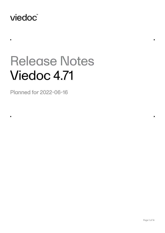# viedoc®

 $\blacksquare$ 

 $\blacksquare$ 

# Release Notes Viedoc 4.71

Planned for 2022-06-16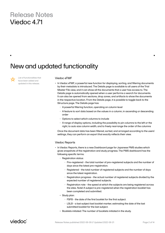# New and updated functionality

List of functionalities that have been added and updated in this release.

#### Viedoc eTMF

- • In Viedoc eTMF, a powerful new function for displaying, sorting, and filtering documents by their metadata is introduced. The Details page is available to all users of the Trial Master File view, and it can show all the documents that a user has access to. The Details page is automatically opened when a user performs a search for documents. It can also be opened from sections, drop zones, and artifacts to show the documents in the respective location. From the Details page, it is possible to toggle back to the Structure page. The Details page has:
	- • A powerful filtering function, operating on column level
	- • A feature to sort data based on the values in a column, in ascending or descending order
	- • Options to select which columns to include
	- • A range of display options, including the possibility to pin columns to the left or the right, to auto size column width, and to freely rearrange the order of the columns

Once the document data has been filtered, sorted, and arranged according to the users' settings, they can perform an export that exactly reflects their view.

#### Viedoc Reports

- • In Viedoc Reports, there is a new Dashboard page for Japanese PMS studies which gives snapshots of the registration and study progress. The PMS dashboard has the following specific terms:
	- • Registration status:
		- Pre-registered the total number of pre-registered subjects and the number of days since the latest pre-registration.
		- Registered the total number of registered subjects and the number of days since the latest registration.
		- Registration progress the actual number of registered subjects divided by the expected number of registered subjects.
		- Registration rate the speed at which the subjects are being registered across the sites. Note! A subject is pre-registered when the registration booklet has been completed and submitted.
	- • Study plan:
		- FSFB the date of the first booklet for the first subject.
		- LSLB a last subject last booklet marker, estimating the date of the last submitted booklet for the last subject.
	- Booklets initiated: The number of booklets initiated in the study.

### viedoc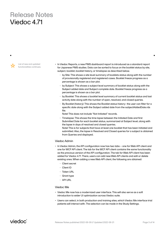List of new and updated functionalities continues.

- In Viedoc Reports, a new PMS dashboard report is introduced as a standard report for Japanese PMS studies. Data can be sorted to focus on the booklet status by site, subject, booklet, booklet history, or timelapse as described below.
	- • by Site: This shows a site level summary of booklets status along with the number of provisionally registered and registered cases. Booklet freeze progress as a percentage is shown as a bar plot.
	- • by Subject: This shows a subject level summary of booklet status along with the Subject added date and Subject complete date. Booklet freeze progress as a percentage is shown as a bar plot.
	- by Booklet: This shows a booklet level summary of current booklet status and last activity date along with the number of open, resolved, and closed queries.
	- • By Booklet (history): This shows the Booklet status history- the user can filter for a specific date along with the Subject added date from the subjectAddedDate.rds file.

Note! This does not include "Not Initiated" records.

Timelapse: This shows the time lapse between the Initiated Date and first Submitted Date for each booklet status, summarized at Subject level, along with the lapse in days of resolved and closed queries. Note! This is for subjects that have at least one booklet that has been Initiated and submitted. Also, the lapse in Resolved and Closed queries for a subject is obtained from Queries and displayed.

#### Viedoc Admin

- In Viedoc Admin, the API configuration now has two tabs one for Web API client and one for WCF API client. The tab for the WCF API client contains the same functionality as the previous version of the API configuration. The tab for Web API client has been added for Viedoc 4.71. There, users can add new Web API clients and edit or delete existing ones. When adding a new Web API client, the following are obtained:
	- • Client secret
	- • Client ID
	- • Token URL
	- Grant type
	- • API URL

#### Viedoc Me

- • Viedoc Me now has a modernized user interface. This will also serve as a soft introduction to wider UI optimization across Viedoc suite.
- Users can select, in both production and training sites, which Viedoc Me interface trial patients will interact with. The selection can be made in the Study Settings.

viedoc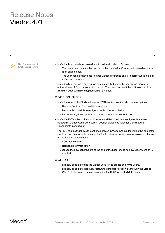List of new and updated functionalities continues.

- In Viedoc Me, there is increased functionality with Viedoc Connect:
	- • The user can now minimize and maximize the Viedoc Connect window when there is an ongoing call.
	- The user can also navigate to other Viedoc Me pages and fill in forms while in a call on Viedoc Connect.
- • In Viedoc Me, there is a new button notification that alerts the user when there is an active video call from anywhere in the app. The user can select the button at any time from any page within the application to join a call.

#### Viedoc PMS studies

- In Viedoc Admin, the Study settings for PMS studies now include two new options:
	- • Require Contract for booklet submission
	- • Require Responsible Investigator for booklet submission

When selected, these options can be set to mandatory or optional.

- In Viedoc PMS, if the options for Contract and Responsible Investigator have been selected in Viedoc Admin, the Submit booklet dialog has fields for Contract and Responsible Investigator.
- • For PMS studies that have the options enabled in Viedoc Admin for linking the booklet to Contract and Responsible Investigator, the Excel export now contains two new columns on the Booklet status sheet:
	- • Contract Number
	- Responsible Investigator
	- Because the new columns are at the end of the Excel sheet, no new export version is created.

#### Viedoc API

- It is now possible to use the Viedoc Web API to create and invite users.
- • It is now possible to add Contracts, Sites and User properties through the Viedoc Web API. This information is included in the ODM formatted data export.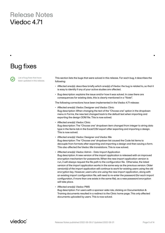# Bug fixes

List of bug fixes that have been updated in this release. This section lists the bugs that were solved in this release. For each bug, it describes the following:

- • Affected area(s): describes briefly which area(s) of Viedoc the bug is related to, so that it is easy to identify if any of your active studies are affected.
- Bug description: explains the issue and/or how it was solved. In case there are consequences for existing data, this is clearly mentioned in a "Note!".

The following corrections have been implemented in the Viedoc 4.71 release:

- • Affected area(s): Viedoc Designer and Viedoc Clinic Bug description: When changing the text of the "Choose one" option in the dropdown menu in Forms, the new text changed back to the default text when importing and exporting the design ODM file. This is now solved.
- • Affected area(s): Viedoc Clinic Bug description: The "Choose one" dropdown item changed from integer to string data type in the Items tab in the Excel/CSV export after exporting and importing a design. This is now solved.
- • Affected area(s): Viedoc Designer and Viedoc Me Bug description: The "Choose one" dropdown list caused the Code list items to decouple from formats after exporting and importing a design and then saving a form. This also affected the Viedoc Me translations. This is now solved.
- • Affected area(s): Viedoc Admin Data Import Application Bug description: A new version of the import application is released with an improved encryption mechanism for passwords. When the new import application version is run, it will always request the file path to the configuration file. Otherwise, the latest version of the import application works in the same way as the previous version. Older version(s) of the import application will continue to work for existing users using the old encryption key. However, users who are using the new import application, along with an existing import configuration file, will need to re-enter the password (for each import configuration, if more than one exists in the same file), as a new password encryption will take place.
- • Affected area(s): Viedoc PMS

Bug description: For users with a sponsor-side role, clicking on Documentation & Training documents resulted in a redirect to the Clinic home page. This only affected documents uploaded by users. This is now solved.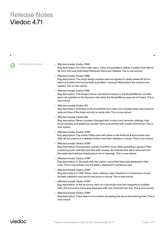- List of bug fixes continues. **Affected area(s): Viedoc PMS** Bug description: For Clinic side users, it was not possible to delete a subject that had an AE form that was Submitted-Received-Returned-Deleted. This is now solved.
	- • Affected area(s): Viedoc PMS Bug description: The study design revision was not applied to newly added AE forms within a booklet that had partially submitted- received AE(s) before the revision was applied. This is now solved.
	- Affected area(s): Viedoc PMS Bug description: The Subject status calculations based on the BookletStatus variable were not updated on the Sponsor side when the BooketStatus was set to Frozen. This is now solved.
	- • Affected area(s): Viedoc API Bug description: Activities on the EventDate form were not included when returning the date and time of the latest activity on study data. This is now solved.
	- • Affected area(s): Viedoc Me Bug description: When a subject changed their contact and reminder settings, their email address and telephone number were overwritten with invalid information. This is now solved.
	- • Affected area(s): Viedoc eTMF Bug description: The artifact titles were still visible in the Artifacts & documents area after all documents in a deleted artifact had been deleted or moved. This is now solved.
	- • Affected area(s): Viedoc eTMF Bug description: During batch upload at artifact level, while uploading a group of files containing both valid files and files with viruses, the infected files were removed from the application without displaying an error message. This is now solved.
	- • Affected area(s): Viedoc eTMF Bug description: In the audit trail, the custom name field label was displayed in title case. This is now solved, and the label is displayed in sentence case.
	- • Affected area(s): Viedoc eTMF Bug description: In TMF Admin, when adding a new milestone in maintenance mode, the field validation was performed prior to saving. This is now solved.
	- • Affected area(s): Viedoc eTMF Bug description: In the structure view, for a document that was assigned to multiple sites, the document name was displayed with one character per line. This is now solved.
	- • Affected area(s): Viedoc eTMF Bug description: There was an error when accessing the document sharing links. This is now solved.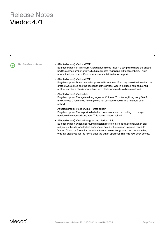List of bug fixes continues. • **Affected area(s): Viedoc eTMF** Bug description: In TMF Admin, it was possible to import a template where the sheets had the same number of rows but a mismatch regarding artifact numbers. This is now solved, and the artifact numbers are validated upon import.

> • Affected area(s): Viedoc eTMF Bug description: Documents disappeared from the artifact they were filed to when the artifact was edited and the section that the artifact was in included non-sequential artifact numbers. This is now solved, and all documents have been restored.

- • Affected area(s): Viedoc Me Bug description: The system languages for Chinese (Traditional, Hong Kong S.A.R.) and Chinese (Traditional, Taiwan) were not correctly shown. This has now been solved.
- • Affected area(s): Viedoc Clinic Data export Bug description: The export failed when data was saved according to a design version with a non-existing item. This has now been solved.
- • Affected area(s): Viedoc Designer and Viedoc Clinic Bug description: When approving a design revision in Viedoc Designer, when any subject on the site was locked because of an edit, the revision upgrade failed. In Viedoc Clinic, the forms for the subject were then not upgraded and the issue flag was still displayed for the forms after the batch approval. This has now been solved.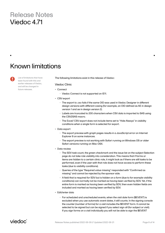# Known limitations

List of limitations that have been found with this and earlier releases of Viedoc, and will be changed in future releases.

#### The following limitations exist in this release of Viedoc:

#### Viedoc Clinic

- • Connect
	- • Viedoc Connect is not supported on IE11.
- • CSV export
	- • The export to .csv fails if the same OID was used in Viedoc Designer in different design versions with different casing (for example, an OID defined as AE in design version 1 and ae in design version 2).
	- • Labels are truncated to 200 characters when CSV data is imported to SAS using the CSV2SAS macro.
	- The Excel/ CSV export does not include items set to "Hide Always" in visibility conditions when a single form is selected for export.
- • Data export
	- • The export preview with graph pages results in a JavaScript error on Internet Explorer 8 on some instances.
	- The export preview is not working with Safari running on Windows OS or older Safari versions running on Mac OSX.
- • Data review
	- • The SDV task count, the green checkmark and the issue list on the subject Selection page do not take role visibility into consideration. This means that if forms or items are hidden to a certain clinic role, it might look as if there are still tasks to be performed, even if the user with that role does not have access to perform these tasks (due to visibility conditions).
	- Queries of the type "Required value missing" responded with "Confirmed as missing" and cannot be rejected by the sponsor side.
	- • A field that is required for SDV but is hidden on a form (due to for example visibility conditions) can normally not be marked as having been verified by SDV. Yet, if the entire form is marked as having been verified by SDV, then even hidden fields are included and marked as having been verified by SDV.
- • Edit/enter data
	- • For scheduled and unscheduled events, when the visit date form (\$EVENT) is excluded when you use automatic event dates, it still counts. In the signing console the counter (number of forms) for a visit includes the \$EVENT form. It cannot be selected to be signed but can be signed if you select sign all (for subject or visit). If you sign forms on a visit individually you will not be able to sign the \$EVENT

viedoc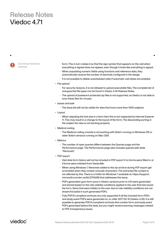List of known limitations continues.

form. This in turn makes it so that the sign symbol that appears on the visit when everything is signed does not appear, even though it looks like everything is signed.

- When populating numeric fields using functions and reference data, they automatically receive the number of decimals configured in the design.
- It is not possible to delete unscheduled visits if automatic visit dates are enabled.
- File upload
	- • For security reasons, it is not allowed to upload executable files. The complete list of unsupported file types can be found in Viedoc 4.34 Release Notes.
	- • The upload of password-protected zip files is not supported, as Viedoc is not able to scan these files for viruses.
- • Issues and task
	- The Issue list will not be visible for sites that have more than 1000 subjects.
- Layout
	- • When adjusting the font size in a form item this is not respected by Internet Explorer 11. This may result in a change to the layout of the form. The descending sorting in the subject list view is not working properly.
- Medical coding
	- The Medical coding console is not working with Safari running on Windows OS or older Safari versions running on Mac OSX.
- Metrics
	- The number of open queries differs between the Queries page and the Performance page. The Performance page also includes queries with state "Removed".
- • PDF export
	- • Visit date form history will not be included in PDF export if no forms were filled in, or if forms were initiated from ViedocMe.
	- When using Windows 7, filenames added to the zip archive during PDF export get scrambled when they contain Unicode characters. The extracted file content is not affected by this. There is a Hotfix for Windows 7 available at: https://support. microsoft.com/en-us/kb/2704299 that addresses this issue.
	- • PDFs generated upon form save in Viedoc versions prior to 4.51 were generated and stored based on the role visibility conditions applied to the user that last saved the form. Items that were hidden to the user due to role visibility conditions are not shown/included in such generated PDFs.
	- • Fully PDF/A compliant archives are only supported if all the included form PDFs and study event PDFs were generated on, or, after 2017-03-10 (Viedoc 4.33). It is still possible to generate PDF/A compliant archives that contain form and study event PDFs generated before this date, but you might receive warning messages related to PDF transparency issues.

viedoc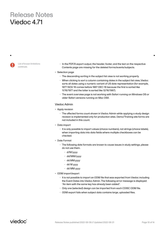List of known limitations continues.

• In the PDF/A export output, the header, footer, and the text on the respective Contents page are missing for the deleted forms/events/subjects.

#### • Selection page

- The descending sorting in the subject list view is not working properly.
- When clicking to sort a column containing dates in the subject list view, Viedoc sorts all dates using a numeric variant of US date representation (for example, 1977-NOV-16 comes before 1967-DEC-16 because the first is sorted like 11/16/1977 and the latter is sorted like 12/16/1967).
- • The event overview page is not working with Safari running on Windows OS or older Safari versions running on Mac OSX.

#### Viedoc Admin

- Apply revision
	- The affected forms count shown in Viedoc Admin while applying a study design revision is implemented only for production sites. Demo/Training site forms are not included in this count.
- • Data import
	- It is only possible to import values (choice numbers), not strings (choice labels), when importing data into data fields where multiple checkboxes can be checked.
- • Date Format
	- The following date formats are known to cause issues in study settings, please do not use them.
		- d/M/yyyy
		- dd/MM/yyyy
		- dd.MM.yyyy
		- dd M yyyy
		- dd MM yyyy
- • ODM import/export
	- • It is not possible to import an ODM file that was exported from Viedoc including the Event Dates into Viedoc Admin. The following error message is displayed: "An item with the same key has already been added".
	- • Only one (selected) design can be imported from each CDISC ODM file.
	- ODM export fails when subject data contains large, uploaded files.

viedoc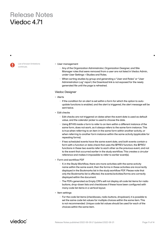List of known limitations continues.

#### • User management

- • Any of the Organization Administrator, Organization Designer, and Site Manager roles that were removed from a user are not listed in Viedoc Admin, under User Settings > Studies and Roles.
- • When sorting studies by group and generating a "User and Roles" or "User Administration Log" report, the Download link is not exposed for the newly generated file until the page is refreshed.

#### Viedoc Designer

- Alerts
	- • If the condition for an alert is set within a form for which the option to autoupdate functions is enabled, and the alert is triggered, the alert message will be sent twice.
- • Edit checks
	- Edit checks are not triggered on dates when the event date is used as default value, and the calendar picker is used to choose the date.
	- • Using \$THIS inside a form to refer to an item within a different instance of the same form, does not work, as it always refers to the same form instance. This is true when referring to an item in the same form within another activity, or when referring to another form instance within the same activity (applicable for repeating forms).
	- • If two scheduled events have the same event date, and both events contain a form with a function or data check that uses the \$PREV function, the \$PREV functions in these two events refer to each other as the previous event, and not to the event that occurred earlier in the study workflow. This creates a circular reference and makes it impossible to refer to earlier event(s).
- • Form and workflow PDF
	- • If, in the Study Workflow, there are more activities with the same activity name within the same event, then the forms in these activities are incorrectly displayed in the Bookmarks list in the study workflow PDF. Please note that only the Bookmarks list is affected, the events/activities/forms are correctly displayed within the document.
	- The PDFs generated as Empty CRFs will not display all code list items for radio buttons, drop-down lists and checkboxes if these have been configured with many code list items in a vertical layout.
- Item settings
	- • For the code list items (checkboxes, radio buttons, dropdown), it is possible to set the same code list values for multiple choices within the same item. This is not recommended. Unique code list values should be used for each of the choices within the same item.

viedoc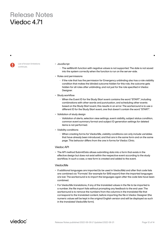List of known limitations continues.

#### • JavaScript

- The setMonth function with negative values is not supported. The date is not saved into the system correctly when the function is run on the server-side.
- • Roles and permissions
	- • If the role that has the permission for Emergency unblinding also has a role visibility condition that makes the blinded outcome hidden for this role, the outcome gets hidden for all roles after unblinding, and not just for the role specified in Viedoc Designer.
- • Study workflow
	- • When the Event ID for the Study Start event contains the word "START", including combinations with other words and punctuation, and scheduling other events based on the Study Start event, this results in an error. The workaround is to use a different ID for the Study Start event, one that doesn't contain the word "START".
- Validation of study design
	- • Validation of alerts, selection view settings, event visibility, subject status condition, common event summary format and subject ID generation settings for deleted items is not performed.
- Visibility conditions
	- • When creating forms for ViedocMe, visibility conditions can only include variables that have already been introduced, and that are in the same form and on the same page. This behavior differs from the one in forms for Viedoc Clinic.

#### Viedoc API

• The API method SubmitData allows submitting data into a form that exists in the effective design but does not exist within the respective event according to the study workflow. In such a case, a new form is created and added to the event.

#### ViedocMe

- • If additional languages are imported (to be used in ViedocMe) and after that code lists are combined via "Formats" (for example for SAS export) then the imported languages are lost. The workaround is to import the languages again after the code lists have been combined.
- • For ViedocMe translations, if any of the translated values in the file to be imported is a number, the file import fails without prompting any feedback to the end user. The workaround is to remove the numbers from the columns in the translated file that correspond to the translated content, before importing the file in Viedoc Designer (the numeric values will be kept in the original English version and will be displayed as such in the translated ViedocMe form).

viedoc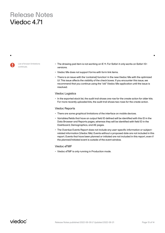List of known limitations continues.

- The drawing pad item is not working on IE 11. For Safari it only works on Safari 12+ versions.
- Viedoc Me does not support forms with form link items.
- • There is an issue with the 'contains() function' in the new Viedoc Me with the optimized UI. This issue affects the visibility of the check boxes. If you encounter this issue, we recommend that you continue using the "old" Viedoc Me application until the issue is resolved.

#### Viedoc Logistics

• In the exported stock list, the audit trail shows one row for the create action for older kits. For more recently uploaded kits, the audit trail shows two rows for the create action.

#### Viedoc Reports

- There are some graphical limitations of the interface on mobile devices.
- • Variables/fields that have an output field ID defined will be identified with this ID in the Data Browser and Reports pages, whereas they will be identified with field ID in the Dashboard, Demographics, and AE pages.
- The Overdue Events Report does not include any user-specific information or subjectrelated information (Viedoc Me). Events without a proposed date are not included in this report. Events that have been planned or initiated are not included in this report, even if the planned/initiated event is outside of the event window.

#### Viedoc eTMF

• Viedoc eTMF is only running in Production mode.